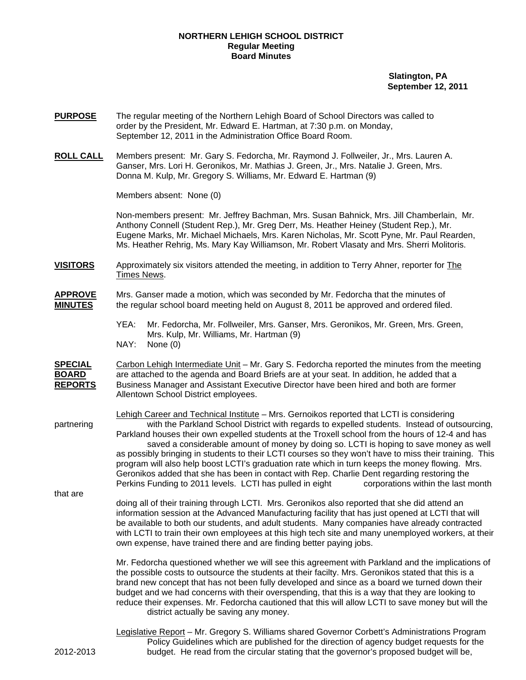### **NORTHERN LEHIGH SCHOOL DISTRICT Regular Meeting Board Minutes**

 **Slatington, PA September 12, 2011**

- **PURPOSE** The regular meeting of the Northern Lehigh Board of School Directors was called to order by the President, Mr. Edward E. Hartman, at 7:30 p.m. on Monday, September 12, 2011 in the Administration Office Board Room.
- **ROLL CALL** Members present: Mr. Gary S. Fedorcha, Mr. Raymond J. Follweiler, Jr., Mrs. Lauren A. Ganser, Mrs. Lori H. Geronikos, Mr. Mathias J. Green, Jr., Mrs. Natalie J. Green, Mrs. Donna M. Kulp, Mr. Gregory S. Williams, Mr. Edward E. Hartman (9)

Members absent: None (0)

Non-members present: Mr. Jeffrey Bachman, Mrs. Susan Bahnick, Mrs. Jill Chamberlain, Mr. Anthony Connell (Student Rep.), Mr. Greg Derr, Ms. Heather Heiney (Student Rep.), Mr. Eugene Marks, Mr. Michael Michaels, Mrs. Karen Nicholas, Mr. Scott Pyne, Mr. Paul Rearden, Ms. Heather Rehrig, Ms. Mary Kay Williamson, Mr. Robert Vlasaty and Mrs. Sherri Molitoris.

- **VISITORS** Approximately six visitors attended the meeting, in addition to Terry Ahner, reporter for The Times News.
- **APPROVE** Mrs. Ganser made a motion, which was seconded by Mr. Fedorcha that the minutes of **MINUTES** the regular school board meeting held on August 8, 2011 be approved and ordered filed.
	- YEA: Mr. Fedorcha, Mr. Follweiler, Mrs. Ganser, Mrs. Geronikos, Mr. Green, Mrs. Green, Mrs. Kulp, Mr. Williams, Mr. Hartman (9) NAY: None (0)

**SPECIAL** Carbon Lehigh Intermediate Unit – Mr. Gary S. Fedorcha reported the minutes from the meeting **BOARD** are attached to the agenda and Board Briefs are at your seat. In addition, he added that a **REPORTS** Business Manager and Assistant Executive Director have been hired and both are former Allentown School District employees.

 Lehigh Career and Technical Institute – Mrs. Gernoikos reported that LCTI is considering partnering with the Parkland School District with regards to expelled students. Instead of outsourcing, Parkland houses their own expelled students at the Troxell school from the hours of 12-4 and has saved a considerable amount of money by doing so. LCTI is hoping to save money as well as possibly bringing in students to their LCTI courses so they won't have to miss their training. This program will also help boost LCTI's graduation rate which in turn keeps the money flowing. Mrs. Geronikos added that she has been in contact with Rep. Charlie Dent regarding restoring the Perkins Funding to 2011 levels. LCTI has pulled in eight corporations within the last month

that are

 doing all of their training through LCTI. Mrs. Geronikos also reported that she did attend an information session at the Advanced Manufacturing facility that has just opened at LCTI that will be available to both our students, and adult students. Many companies have already contracted with LCTI to train their own employees at this high tech site and many unemployed workers, at their own expense, have trained there and are finding better paying jobs.

 Mr. Fedorcha questioned whether we will see this agreement with Parkland and the implications of the possible costs to outsource the students at their facilty. Mrs. Geronikos stated that this is a brand new concept that has not been fully developed and since as a board we turned down their budget and we had concerns with their overspending, that this is a way that they are looking to reduce their expenses. Mr. Fedorcha cautioned that this will allow LCTI to save money but will the district actually be saving any money.

 Legislative Report – Mr. Gregory S. Williams shared Governor Corbett's Administrations Program Policy Guidelines which are published for the direction of agency budget requests for the 2012-2013 budget. He read from the circular stating that the governor's proposed budget will be,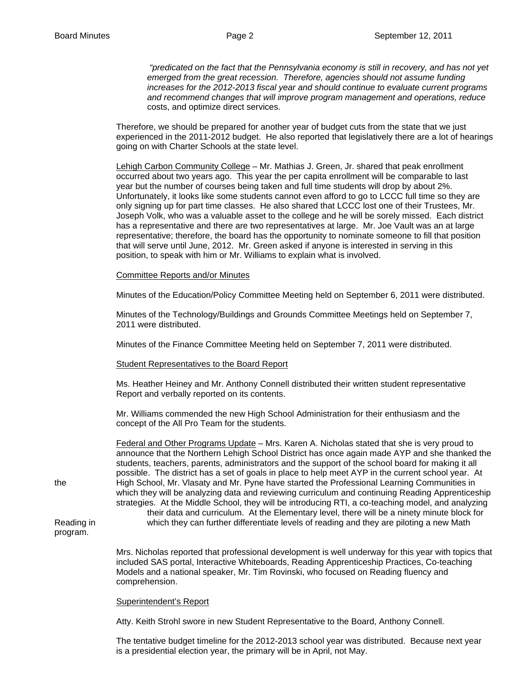*"predicated on the fact that the Pennsylvania economy is still in recovery, and has not yet emerged from the great recession. Therefore, agencies should not assume funding increases for the 2012-2013 fiscal year and should continue to evaluate current programs and recommend changes that will improve program management and operations, reduce*  costs, and optimize direct services.

 Therefore, we should be prepared for another year of budget cuts from the state that we just experienced in the 2011-2012 budget. He also reported that legislatively there are a lot of hearings going on with Charter Schools at the state level.

Lehigh Carbon Community College – Mr. Mathias J. Green, Jr. shared that peak enrollment occurred about two years ago. This year the per capita enrollment will be comparable to last year but the number of courses being taken and full time students will drop by about 2%. Unfortunately, it looks like some students cannot even afford to go to LCCC full time so they are only signing up for part time classes. He also shared that LCCC lost one of their Trustees, Mr. Joseph Volk, who was a valuable asset to the college and he will be sorely missed. Each district has a representative and there are two representatives at large. Mr. Joe Vault was an at large representative; therefore, the board has the opportunity to nominate someone to fill that position that will serve until June, 2012. Mr. Green asked if anyone is interested in serving in this position, to speak with him or Mr. Williams to explain what is involved.

### Committee Reports and/or Minutes

Minutes of the Education/Policy Committee Meeting held on September 6, 2011 were distributed.

Minutes of the Technology/Buildings and Grounds Committee Meetings held on September 7, 2011 were distributed.

Minutes of the Finance Committee Meeting held on September 7, 2011 were distributed.

#### Student Representatives to the Board Report

Ms. Heather Heiney and Mr. Anthony Connell distributed their written student representative Report and verbally reported on its contents.

Mr. Williams commended the new High School Administration for their enthusiasm and the concept of the All Pro Team for the students.

 Federal and Other Programs Update – Mrs. Karen A. Nicholas stated that she is very proud to announce that the Northern Lehigh School District has once again made AYP and she thanked the students, teachers, parents, administrators and the support of the school board for making it all possible. The district has a set of goals in place to help meet AYP in the current school year. At the High School, Mr. Vlasaty and Mr. Pyne have started the Professional Learning Communities in which they will be analyzing data and reviewing curriculum and continuing Reading Apprenticeship strategies. At the Middle School, they will be introducing RTI, a co-teaching model, and analyzing their data and curriculum. At the Elementary level, there will be a ninety minute block for Reading in which they can further differentiate levels of reading and they are piloting a new Math

> Mrs. Nicholas reported that professional development is well underway for this year with topics that included SAS portal, Interactive Whiteboards, Reading Apprenticeship Practices, Co-teaching Models and a national speaker, Mr. Tim Rovinski, who focused on Reading fluency and comprehension.

#### Superintendent's Report

Atty. Keith Strohl swore in new Student Representative to the Board, Anthony Connell.

The tentative budget timeline for the 2012-2013 school year was distributed. Because next year is a presidential election year, the primary will be in April, not May.

program.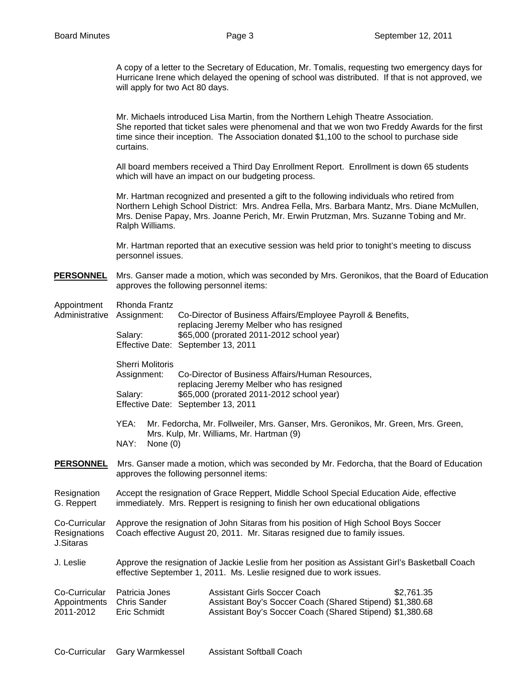A copy of a letter to the Secretary of Education, Mr. Tomalis, requesting two emergency days for Hurricane Irene which delayed the opening of school was distributed. If that is not approved, we will apply for two Act 80 days.

Mr. Michaels introduced Lisa Martin, from the Northern Lehigh Theatre Association. She reported that ticket sales were phenomenal and that we won two Freddy Awards for the first time since their inception. The Association donated \$1,100 to the school to purchase side curtains.

All board members received a Third Day Enrollment Report. Enrollment is down 65 students which will have an impact on our budgeting process.

Mr. Hartman recognized and presented a gift to the following individuals who retired from Northern Lehigh School District: Mrs. Andrea Fella, Mrs. Barbara Mantz, Mrs. Diane McMullen, Mrs. Denise Papay, Mrs. Joanne Perich, Mr. Erwin Prutzman, Mrs. Suzanne Tobing and Mr. Ralph Williams.

Mr. Hartman reported that an executive session was held prior to tonight's meeting to discuss personnel issues.

- **PERSONNEL** Mrs. Ganser made a motion, which was seconded by Mrs. Geronikos, that the Board of Education approves the following personnel items:
- Appointment Rhonda Frantz

| Administrative Assignment:                 | Salary:                                                                                                                                                                      | Co-Director of Business Affairs/Employee Payroll & Benefits,<br>replacing Jeremy Melber who has resigned<br>\$65,000 (prorated 2011-2012 school year)<br>Effective Date: September 13, 2011 |  |  |
|--------------------------------------------|------------------------------------------------------------------------------------------------------------------------------------------------------------------------------|---------------------------------------------------------------------------------------------------------------------------------------------------------------------------------------------|--|--|
|                                            | <b>Sherri Molitoris</b><br>Assignment:                                                                                                                                       | Co-Director of Business Affairs/Human Resources,<br>replacing Jeremy Melber who has resigned                                                                                                |  |  |
|                                            | Salary:                                                                                                                                                                      | \$65,000 (prorated 2011-2012 school year)<br>Effective Date: September 13, 2011                                                                                                             |  |  |
|                                            | YEA:<br>Mr. Fedorcha, Mr. Follweiler, Mrs. Ganser, Mrs. Geronikos, Mr. Green, Mrs. Green,<br>Mrs. Kulp, Mr. Williams, Mr. Hartman (9)<br>NAY:<br>None $(0)$                  |                                                                                                                                                                                             |  |  |
|                                            |                                                                                                                                                                              |                                                                                                                                                                                             |  |  |
| Resignation<br>G. Reppert                  | Accept the resignation of Grace Reppert, Middle School Special Education Aide, effective<br>immediately. Mrs. Reppert is resigning to finish her own educational obligations |                                                                                                                                                                                             |  |  |
| Co-Curricular<br>Resignations<br>J.Sitaras | Approve the resignation of John Sitaras from his position of High School Boys Soccer<br>Coach effective August 20, 2011. Mr. Sitaras resigned due to family issues.          |                                                                                                                                                                                             |  |  |
| J. Leslie                                  | Approve the resignation of Jackie Leslie from her position as Assistant Girl's Basketball Coach<br>effective September 1, 2011. Ms. Leslie resigned due to work issues.      |                                                                                                                                                                                             |  |  |
| Co-Curricular<br>Appointments<br>2011-2012 | Patricia Jones<br><b>Chris Sander</b><br>Eric Schmidt                                                                                                                        | <b>Assistant Girls Soccer Coach</b><br>\$2,761.35<br>Assistant Boy's Soccer Coach (Shared Stipend) \$1,380.68<br>Assistant Boy's Soccer Coach (Shared Stipend) \$1,380.68                   |  |  |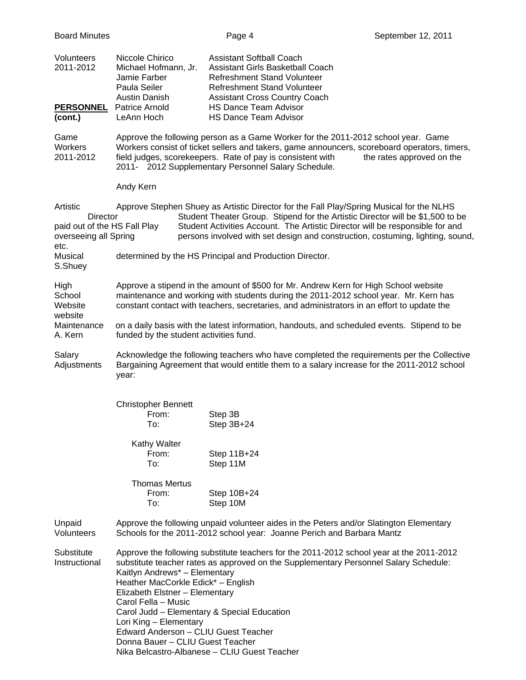| <b>Board Minutes</b>                                                                         |                                                                                                                                                                                                                                                                                                                                                                                                                                                                                                                       | Page 4                                                                                                                                                                           | September 12, 2011                                                                                                                                                                                                                                                                                                                            |  |
|----------------------------------------------------------------------------------------------|-----------------------------------------------------------------------------------------------------------------------------------------------------------------------------------------------------------------------------------------------------------------------------------------------------------------------------------------------------------------------------------------------------------------------------------------------------------------------------------------------------------------------|----------------------------------------------------------------------------------------------------------------------------------------------------------------------------------|-----------------------------------------------------------------------------------------------------------------------------------------------------------------------------------------------------------------------------------------------------------------------------------------------------------------------------------------------|--|
| Volunteers<br>2011-2012                                                                      | Niccole Chirico<br>Michael Hofmann, Jr.<br>Jamie Farber<br>Paula Seiler<br>Austin Danish                                                                                                                                                                                                                                                                                                                                                                                                                              | <b>Assistant Softball Coach</b><br>Assistant Girls Basketball Coach<br><b>Refreshment Stand Volunteer</b><br>Refreshment Stand Volunteer<br><b>Assistant Cross Country Coach</b> |                                                                                                                                                                                                                                                                                                                                               |  |
| <b>PERSONNEL</b><br>(cont.)                                                                  | Patrice Arnold<br>LeAnn Hoch                                                                                                                                                                                                                                                                                                                                                                                                                                                                                          | <b>HS Dance Team Advisor</b><br><b>HS Dance Team Advisor</b>                                                                                                                     |                                                                                                                                                                                                                                                                                                                                               |  |
| Game<br><b>Workers</b><br>2011-2012                                                          | Approve the following person as a Game Worker for the 2011-2012 school year. Game<br>Workers consist of ticket sellers and takers, game announcers, scoreboard operators, timers,<br>field judges, scorekeepers. Rate of pay is consistent with<br>the rates approved on the<br>2011- 2012 Supplementary Personnel Salary Schedule.                                                                                                                                                                                   |                                                                                                                                                                                  |                                                                                                                                                                                                                                                                                                                                               |  |
|                                                                                              | Andy Kern                                                                                                                                                                                                                                                                                                                                                                                                                                                                                                             |                                                                                                                                                                                  |                                                                                                                                                                                                                                                                                                                                               |  |
| Artistic<br><b>Director</b><br>paid out of the HS Fall Play<br>overseeing all Spring<br>etc. |                                                                                                                                                                                                                                                                                                                                                                                                                                                                                                                       |                                                                                                                                                                                  | Approve Stephen Shuey as Artistic Director for the Fall Play/Spring Musical for the NLHS<br>Student Theater Group. Stipend for the Artistic Director will be \$1,500 to be<br>Student Activities Account. The Artistic Director will be responsible for and<br>persons involved with set design and construction, costuming, lighting, sound, |  |
| Musical<br>S.Shuey                                                                           |                                                                                                                                                                                                                                                                                                                                                                                                                                                                                                                       | determined by the HS Principal and Production Director.                                                                                                                          |                                                                                                                                                                                                                                                                                                                                               |  |
| High<br>School<br>Website<br>website                                                         | Approve a stipend in the amount of \$500 for Mr. Andrew Kern for High School website<br>maintenance and working with students during the 2011-2012 school year. Mr. Kern has<br>constant contact with teachers, secretaries, and administrators in an effort to update the                                                                                                                                                                                                                                            |                                                                                                                                                                                  |                                                                                                                                                                                                                                                                                                                                               |  |
| Maintenance<br>A. Kern                                                                       | on a daily basis with the latest information, handouts, and scheduled events. Stipend to be<br>funded by the student activities fund.                                                                                                                                                                                                                                                                                                                                                                                 |                                                                                                                                                                                  |                                                                                                                                                                                                                                                                                                                                               |  |
| Salary<br>Adjustments                                                                        | Acknowledge the following teachers who have completed the requirements per the Collective<br>Bargaining Agreement that would entitle them to a salary increase for the 2011-2012 school<br>year:                                                                                                                                                                                                                                                                                                                      |                                                                                                                                                                                  |                                                                                                                                                                                                                                                                                                                                               |  |
|                                                                                              | <b>Christopher Bennett</b>                                                                                                                                                                                                                                                                                                                                                                                                                                                                                            |                                                                                                                                                                                  |                                                                                                                                                                                                                                                                                                                                               |  |
|                                                                                              | From:<br>To:                                                                                                                                                                                                                                                                                                                                                                                                                                                                                                          | Step 3B<br>Step 3B+24                                                                                                                                                            |                                                                                                                                                                                                                                                                                                                                               |  |
|                                                                                              | Kathy Walter<br>From:<br>To:                                                                                                                                                                                                                                                                                                                                                                                                                                                                                          | Step 11B+24<br>Step 11M                                                                                                                                                          |                                                                                                                                                                                                                                                                                                                                               |  |
|                                                                                              | <b>Thomas Mertus</b><br>From:<br>To:                                                                                                                                                                                                                                                                                                                                                                                                                                                                                  | Step 10B+24<br>Step 10M                                                                                                                                                          |                                                                                                                                                                                                                                                                                                                                               |  |
| Unpaid<br>Volunteers                                                                         | Approve the following unpaid volunteer aides in the Peters and/or Slatington Elementary<br>Schools for the 2011-2012 school year: Joanne Perich and Barbara Mantz                                                                                                                                                                                                                                                                                                                                                     |                                                                                                                                                                                  |                                                                                                                                                                                                                                                                                                                                               |  |
| Substitute<br>Instructional                                                                  | Approve the following substitute teachers for the 2011-2012 school year at the 2011-2012<br>substitute teacher rates as approved on the Supplementary Personnel Salary Schedule:<br>Kaitlyn Andrews* - Elementary<br>Heather MacCorkle Edick* - English<br>Elizabeth Elstner - Elementary<br>Carol Fella - Music<br>Carol Judd - Elementary & Special Education<br>Lori King - Elementary<br>Edward Anderson - CLIU Guest Teacher<br>Donna Bauer - CLIU Guest Teacher<br>Nika Belcastro-Albanese - CLIU Guest Teacher |                                                                                                                                                                                  |                                                                                                                                                                                                                                                                                                                                               |  |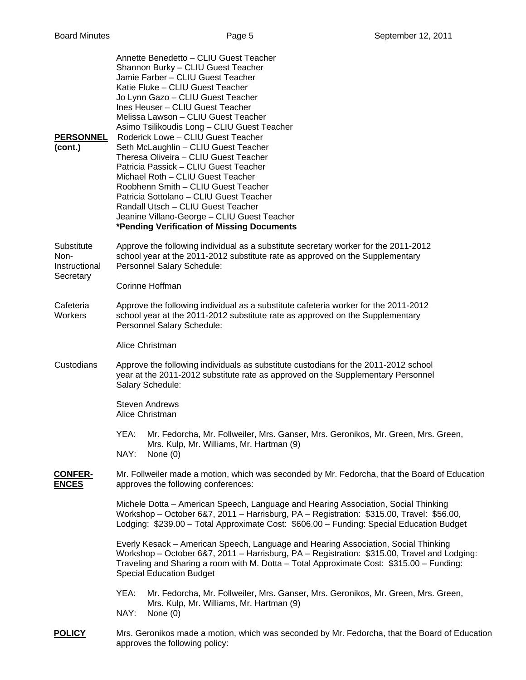| <b>PERSONNEL</b><br>(cont.)                      | Annette Benedetto - CLIU Guest Teacher<br>Shannon Burky - CLIU Guest Teacher<br>Jamie Farber - CLIU Guest Teacher<br>Katie Fluke - CLIU Guest Teacher<br>Jo Lynn Gazo - CLIU Guest Teacher<br>Ines Heuser - CLIU Guest Teacher<br>Melissa Lawson - CLIU Guest Teacher<br>Asimo Tsilikoudis Long - CLIU Guest Teacher<br>Roderick Lowe - CLIU Guest Teacher<br>Seth McLaughlin - CLIU Guest Teacher<br>Theresa Oliveira - CLIU Guest Teacher<br>Patricia Passick - CLIU Guest Teacher<br>Michael Roth - CLIU Guest Teacher<br>Roobhenn Smith - CLIU Guest Teacher<br>Patricia Sottolano - CLIU Guest Teacher<br>Randall Utsch - CLIU Guest Teacher<br>Jeanine Villano-George - CLIU Guest Teacher<br>*Pending Verification of Missing Documents |  |  |  |  |
|--------------------------------------------------|------------------------------------------------------------------------------------------------------------------------------------------------------------------------------------------------------------------------------------------------------------------------------------------------------------------------------------------------------------------------------------------------------------------------------------------------------------------------------------------------------------------------------------------------------------------------------------------------------------------------------------------------------------------------------------------------------------------------------------------------|--|--|--|--|
| Substitute<br>Non-<br>Instructional<br>Secretary | Approve the following individual as a substitute secretary worker for the 2011-2012<br>school year at the 2011-2012 substitute rate as approved on the Supplementary<br>Personnel Salary Schedule:                                                                                                                                                                                                                                                                                                                                                                                                                                                                                                                                             |  |  |  |  |
|                                                  | Corinne Hoffman                                                                                                                                                                                                                                                                                                                                                                                                                                                                                                                                                                                                                                                                                                                                |  |  |  |  |
| Cafeteria<br>Workers                             | Approve the following individual as a substitute cafeteria worker for the 2011-2012<br>school year at the 2011-2012 substitute rate as approved on the Supplementary<br>Personnel Salary Schedule:                                                                                                                                                                                                                                                                                                                                                                                                                                                                                                                                             |  |  |  |  |
|                                                  | Alice Christman                                                                                                                                                                                                                                                                                                                                                                                                                                                                                                                                                                                                                                                                                                                                |  |  |  |  |
| Custodians                                       | Approve the following individuals as substitute custodians for the 2011-2012 school<br>year at the 2011-2012 substitute rate as approved on the Supplementary Personnel<br>Salary Schedule:                                                                                                                                                                                                                                                                                                                                                                                                                                                                                                                                                    |  |  |  |  |
|                                                  | <b>Steven Andrews</b><br>Alice Christman                                                                                                                                                                                                                                                                                                                                                                                                                                                                                                                                                                                                                                                                                                       |  |  |  |  |
|                                                  | Mr. Fedorcha, Mr. Follweiler, Mrs. Ganser, Mrs. Geronikos, Mr. Green, Mrs. Green,<br>YEA:<br>Mrs. Kulp, Mr. Williams, Mr. Hartman (9)<br>NAY:<br>None $(0)$                                                                                                                                                                                                                                                                                                                                                                                                                                                                                                                                                                                    |  |  |  |  |
| <b>CONFER-</b><br><b>ENCES</b>                   | Mr. Follweiler made a motion, which was seconded by Mr. Fedorcha, that the Board of Education<br>approves the following conferences:                                                                                                                                                                                                                                                                                                                                                                                                                                                                                                                                                                                                           |  |  |  |  |
|                                                  | Michele Dotta - American Speech, Language and Hearing Association, Social Thinking<br>Workshop - October 6&7, 2011 - Harrisburg, PA - Registration: \$315.00, Travel: \$56.00,<br>Lodging: \$239.00 - Total Approximate Cost: \$606.00 - Funding: Special Education Budget                                                                                                                                                                                                                                                                                                                                                                                                                                                                     |  |  |  |  |
|                                                  | Everly Kesack - American Speech, Language and Hearing Association, Social Thinking<br>Workshop - October 6&7, 2011 - Harrisburg, PA - Registration: \$315.00, Travel and Lodging:<br>Traveling and Sharing a room with M. Dotta - Total Approximate Cost: \$315.00 - Funding:<br><b>Special Education Budget</b>                                                                                                                                                                                                                                                                                                                                                                                                                               |  |  |  |  |
|                                                  | YEA:<br>Mr. Fedorcha, Mr. Follweiler, Mrs. Ganser, Mrs. Geronikos, Mr. Green, Mrs. Green,<br>Mrs. Kulp, Mr. Williams, Mr. Hartman (9)<br>NAY:<br>None $(0)$                                                                                                                                                                                                                                                                                                                                                                                                                                                                                                                                                                                    |  |  |  |  |
|                                                  |                                                                                                                                                                                                                                                                                                                                                                                                                                                                                                                                                                                                                                                                                                                                                |  |  |  |  |

**POLICY** Mrs. Geronikos made a motion, which was seconded by Mr. Fedorcha, that the Board of Education approves the following policy: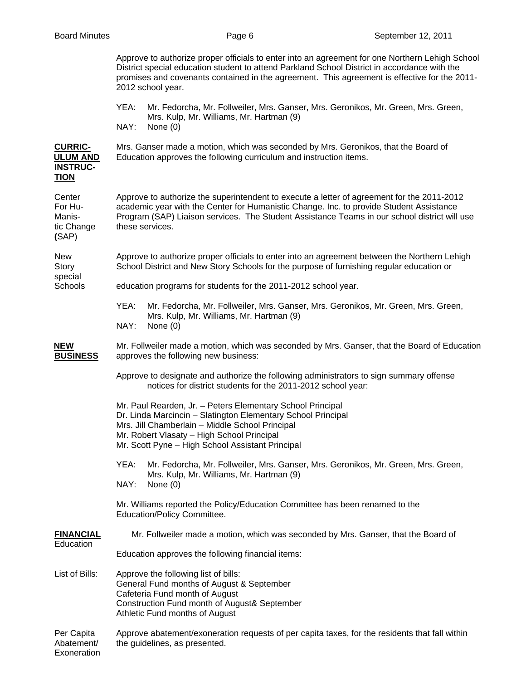| Approve to authorize proper officials to enter into an agreement for one Northern Lehigh School |
|-------------------------------------------------------------------------------------------------|
| District special education student to attend Parkland School District in accordance with the    |
| promises and covenants contained in the agreement. This agreement is effective for the 2011-    |
| 2012 school year.                                                                               |

 YEA: Mr. Fedorcha, Mr. Follweiler, Mrs. Ganser, Mrs. Geronikos, Mr. Green, Mrs. Green, Mrs. Kulp, Mr. Williams, Mr. Hartman (9) NAY: None (0)

**CURRIC-** Mrs. Ganser made a motion, which was seconded by Mrs. Geronikos, that the Board of **ULUM AND** Education approves the following curriculum and instruction items.

# **INSTRUC-TION**

Center Approve to authorize the superintendent to execute a letter of agreement for the 2011-2012 For Hu- academic year with the Center for Humanistic Change. Inc. to provide Student Assistance Manis- Program (SAP) Liaison services. The Student Assistance Teams in our school district will use tic Change these services. **(**SAP)

New Approve to authorize proper officials to enter into an agreement between the Northern Lehigh Story School District and New Story Schools for the purpose of furnishing regular education or special

## Schools education programs for students for the 2011-2012 school year.

 YEA: Mr. Fedorcha, Mr. Follweiler, Mrs. Ganser, Mrs. Geronikos, Mr. Green, Mrs. Green, Mrs. Kulp, Mr. Williams, Mr. Hartman (9) NAY: None (0)

**NEW** Mr. Follweiler made a motion, which was seconded by Mrs. Ganser, that the Board of Education  **BUSINESS** approves the following new business:

> Approve to designate and authorize the following administrators to sign summary offense notices for district students for the 2011-2012 school year:

 Mr. Paul Rearden, Jr. – Peters Elementary School Principal Dr. Linda Marcincin – Slatington Elementary School Principal Mrs. Jill Chamberlain – Middle School Principal Mr. Robert Vlasaty – High School Principal Mr. Scott Pyne – High School Assistant Principal

 YEA: Mr. Fedorcha, Mr. Follweiler, Mrs. Ganser, Mrs. Geronikos, Mr. Green, Mrs. Green, Mrs. Kulp, Mr. Williams, Mr. Hartman (9) NAY: None (0)

 Mr. Williams reported the Policy/Education Committee has been renamed to the Education/Policy Committee.

**FINANCIAL** Mr. Follweiler made a motion, which was seconded by Mrs. Ganser, that the Board of **Education** 

Education approves the following financial items:

List of Bills: Approve the following list of bills: General Fund months of August & September Cafeteria Fund month of August Construction Fund month of August& September Athletic Fund months of August

Per Capita Approve abatement/exoneration requests of per capita taxes, for the residents that fall within Abatement/ the quidelines, as presented. Exoneration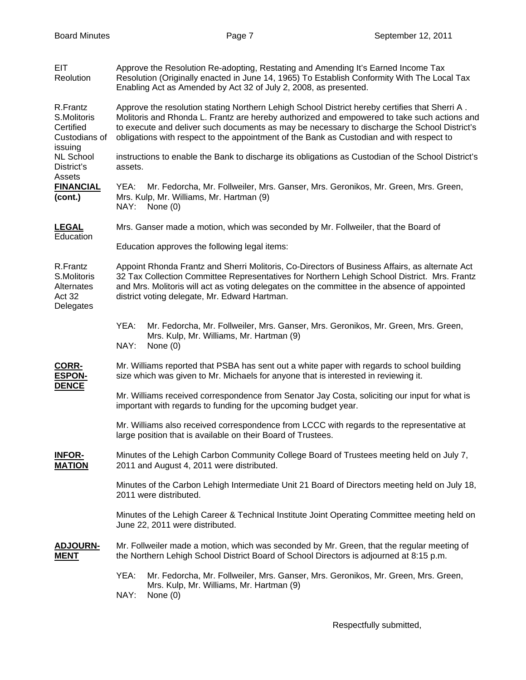| <b>EIT</b><br>Reolution                                          | Approve the Resolution Re-adopting, Restating and Amending It's Earned Income Tax<br>Resolution (Originally enacted in June 14, 1965) To Establish Conformity With The Local Tax<br>Enabling Act as Amended by Act 32 of July 2, 2008, as presented.                                                                                                                                      |  |  |  |  |
|------------------------------------------------------------------|-------------------------------------------------------------------------------------------------------------------------------------------------------------------------------------------------------------------------------------------------------------------------------------------------------------------------------------------------------------------------------------------|--|--|--|--|
| R.Frantz<br>S.Molitoris<br>Certified<br>Custodians of<br>issuing | Approve the resolution stating Northern Lehigh School District hereby certifies that Sherri A.<br>Molitoris and Rhonda L. Frantz are hereby authorized and empowered to take such actions and<br>to execute and deliver such documents as may be necessary to discharge the School District's<br>obligations with respect to the appointment of the Bank as Custodian and with respect to |  |  |  |  |
| <b>NL School</b><br>District's<br>Assets                         | instructions to enable the Bank to discharge its obligations as Custodian of the School District's<br>assets.                                                                                                                                                                                                                                                                             |  |  |  |  |
| <b>FINANCIAL</b><br>(cont.)                                      | Mr. Fedorcha, Mr. Follweiler, Mrs. Ganser, Mrs. Geronikos, Mr. Green, Mrs. Green,<br>YEA:<br>Mrs. Kulp, Mr. Williams, Mr. Hartman (9)<br>NAY:<br>None $(0)$                                                                                                                                                                                                                               |  |  |  |  |
| <b>LEGAL</b><br>Education                                        | Mrs. Ganser made a motion, which was seconded by Mr. Follweiler, that the Board of                                                                                                                                                                                                                                                                                                        |  |  |  |  |
|                                                                  | Education approves the following legal items:                                                                                                                                                                                                                                                                                                                                             |  |  |  |  |
| R.Frantz<br>S.Molitoris<br>Alternates<br>Act 32<br>Delegates     | Appoint Rhonda Frantz and Sherri Molitoris, Co-Directors of Business Affairs, as alternate Act<br>32 Tax Collection Committee Representatives for Northern Lehigh School District. Mrs. Frantz<br>and Mrs. Molitoris will act as voting delegates on the committee in the absence of appointed<br>district voting delegate, Mr. Edward Hartman.                                           |  |  |  |  |
|                                                                  | YEA:<br>Mr. Fedorcha, Mr. Follweiler, Mrs. Ganser, Mrs. Geronikos, Mr. Green, Mrs. Green,<br>Mrs. Kulp, Mr. Williams, Mr. Hartman (9)<br>NAY:<br>None $(0)$                                                                                                                                                                                                                               |  |  |  |  |
| <b>CORR-</b><br><b>ESPON-</b><br><b>DENCE</b>                    | Mr. Williams reported that PSBA has sent out a white paper with regards to school building<br>size which was given to Mr. Michaels for anyone that is interested in reviewing it.                                                                                                                                                                                                         |  |  |  |  |
|                                                                  | Mr. Williams received correspondence from Senator Jay Costa, soliciting our input for what is<br>important with regards to funding for the upcoming budget year.                                                                                                                                                                                                                          |  |  |  |  |
|                                                                  | Mr. Williams also received correspondence from LCCC with regards to the representative at<br>large position that is available on their Board of Trustees.                                                                                                                                                                                                                                 |  |  |  |  |
| <b>INFOR-</b><br><b>MATION</b>                                   | Minutes of the Lehigh Carbon Community College Board of Trustees meeting held on July 7,<br>2011 and August 4, 2011 were distributed.                                                                                                                                                                                                                                                     |  |  |  |  |
|                                                                  | Minutes of the Carbon Lehigh Intermediate Unit 21 Board of Directors meeting held on July 18,<br>2011 were distributed.                                                                                                                                                                                                                                                                   |  |  |  |  |
|                                                                  | Minutes of the Lehigh Career & Technical Institute Joint Operating Committee meeting held on<br>June 22, 2011 were distributed.                                                                                                                                                                                                                                                           |  |  |  |  |
| <b>ADJOURN-</b><br><u>MENT</u>                                   | Mr. Follweiler made a motion, which was seconded by Mr. Green, that the regular meeting of<br>the Northern Lehigh School District Board of School Directors is adjourned at 8:15 p.m.                                                                                                                                                                                                     |  |  |  |  |
|                                                                  | YEA:<br>Mr. Fedorcha, Mr. Follweiler, Mrs. Ganser, Mrs. Geronikos, Mr. Green, Mrs. Green,<br>Mrs. Kulp, Mr. Williams, Mr. Hartman (9)<br>NAY:<br>None $(0)$                                                                                                                                                                                                                               |  |  |  |  |